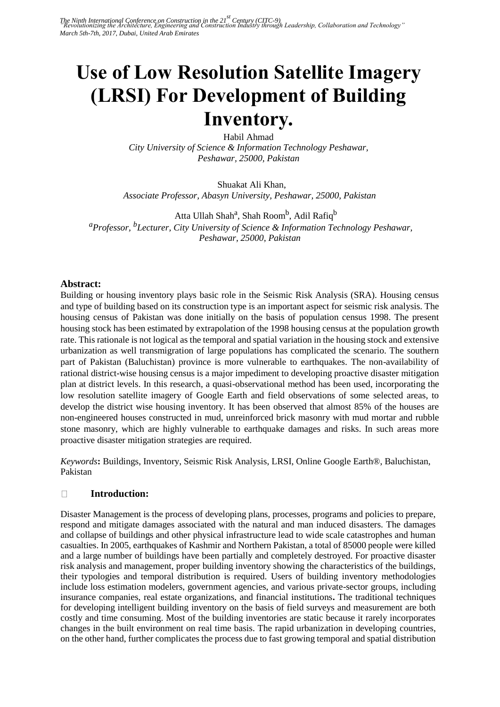# **Use of Low Resolution Satellite Imagery (LRSI) For Development of Building Inventory.**

Habil Ahmad *City University of Science & Information Technology Peshawar, Peshawar, 25000, Pakistan* 

Shuakat Ali Khan, *Associate Professor, Abasyn University, Peshawar, 25000, Pakistan* 

Atta Ullah Shah<sup>a</sup>, Shah Room<sup>b</sup>, Adil Rafiq<sup>b</sup> *<sup>a</sup>Professor, bLecturer, City University of Science & Information Technology Peshawar, Peshawar, 25000, Pakistan* 

### **Abstract:**

Building or housing inventory plays basic role in the Seismic Risk Analysis (SRA). Housing census and type of building based on its construction type is an important aspect for seismic risk analysis. The housing census of Pakistan was done initially on the basis of population census 1998. The present housing stock has been estimated by extrapolation of the 1998 housing census at the population growth rate. This rationale is not logical as the temporal and spatial variation in the housing stock and extensive urbanization as well transmigration of large populations has complicated the scenario. The southern part of Pakistan (Baluchistan) province is more vulnerable to earthquakes. The non-availability of rational district-wise housing census is a major impediment to developing proactive disaster mitigation plan at district levels. In this research, a quasi-observational method has been used, incorporating the low resolution satellite imagery of Google Earth and field observations of some selected areas, to develop the district wise housing inventory. It has been observed that almost 85% of the houses are non-engineered houses constructed in mud, unreinforced brick masonry with mud mortar and rubble stone masonry, which are highly vulnerable to earthquake damages and risks. In such areas more proactive disaster mitigation strategies are required.

*Keywords***:** Buildings, Inventory, Seismic Risk Analysis, LRSI, Online Google Earth®, Baluchistan, Pakistan

#### $\Box$ **Introduction:**

Disaster Management is the process of developing plans, processes, programs and policies to prepare, respond and mitigate damages associated with the natural and man induced disasters. The damages and collapse of buildings and other physical infrastructure lead to wide scale catastrophes and human casualties. In 2005, earthquakes of Kashmir and Northern Pakistan, a total of 85000 people were killed and a large number of buildings have been partially and completely destroyed. For proactive disaster risk analysis and management, proper building inventory showing the characteristics of the buildings, their typologies and temporal distribution is required. Users of building inventory methodologies include loss estimation modelers, government agencies, and various private-sector groups, including insurance companies, real estate organizations, and financial institutions**.** The traditional techniques for developing intelligent building inventory on the basis of field surveys and measurement are both costly and time consuming. Most of the building inventories are static because it rarely incorporates changes in the built environment on real time basis. The rapid urbanization in developing countries, on the other hand, further complicates the process due to fast growing temporal and spatial distribution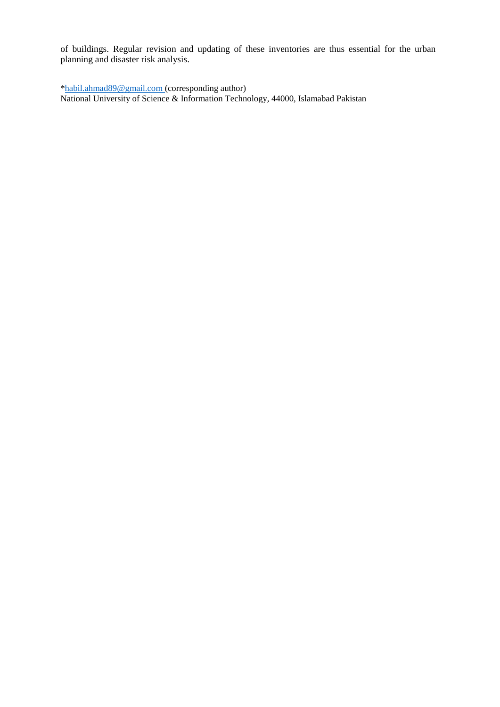of buildings. Regular revision and updating of these inventories are thus essential for the urban planning and disaster risk analysis.

[\\*habil.ahmad89@gmail.com](mailto:habil.ahmad89@gmail.com) (corresponding author) National University of Science & Information Technology, 44000, Islamabad Pakistan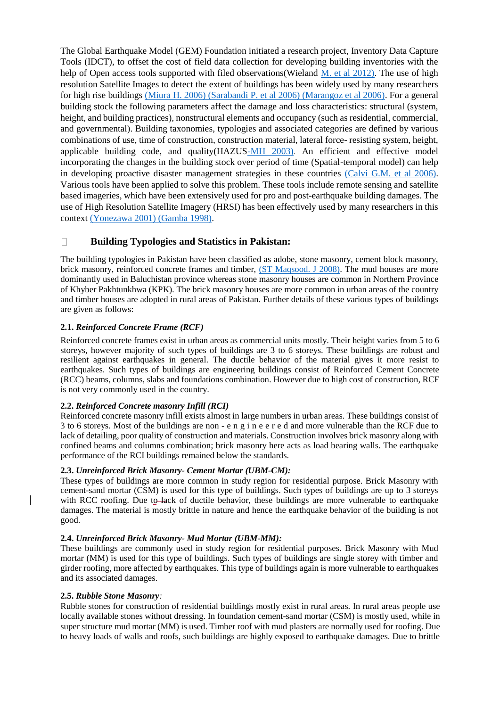The Global Earthquake Model (GEM) Foundation initiated a research project, Inventory Data Capture Tools (IDCT), to offset the cost of field data collection for developing building inventories with the help of Open access tools supported with filed observations (Wieland [M. et al 2012\).](file:///F:/146.doc%23page8) The use of high resolution Satellite Images to detect the extent of buildings has been widely used by many researchers for high rise buildings [\(Miura H. 2006\) \(Sarabandi P. et al 2006\) \(Marangoz et al 2006\).](file:///F:/146.doc%23page8) For a general building stock the following parameters affect the damage and loss characteristics: structural (system, height, and building practices), nonstructural elements and occupancy (such as residential, commercial, and governmental). Building taxonomies, typologies and associated categories are defined by various combinations of use, time of construction, construction material, lateral force- resisting system, height, applicable building code, and quality(HAZU[S-MH 2003\)](file:///F:/146.doc%23page8). An efficient and effective model incorporating the changes in the building stock over period of time (Spatial-temporal model) can help in developing proactive disaster management strategies in these countries [\(Calvi G.M. et al 2006\).](file:///F:/146.doc%23page8) Various tools have been applied to solve this problem. These tools include remote sensing and satellite based imageries, which have been extensively used for pro and post-earthquake building damages. The use of High Resolution Satellite Imagery (HRSI) has been effectively used by many researchers in this context [\(Yonezawa 2001\) \(Gamba 1998\).](file:///F:/146.doc%23page8)

#### $\Box$ **Building Typologies and Statistics in Pakistan:**

The building typologies in Pakistan have been classified as adobe, stone masonry, cement block masonry, brick masonry, reinforced concrete frames and timber, [\(ST Maqsood. J 2008\).](file:///F:/146.doc%23page8) The mud houses are more dominantly used in Baluchistan province whereas stone masonry houses are common in Northern Province of Khyber Pakhtunkhwa (KPK). The brick masonry houses are more common in urban areas of the country and timber houses are adopted in rural areas of Pakistan. Further details of these various types of buildings are given as follows:

### **2.1.** *Reinforced Concrete Frame (RCF)*

Reinforced concrete frames exist in urban areas as commercial units mostly. Their height varies from 5 to 6 storeys, however majority of such types of buildings are 3 to 6 storeys. These buildings are robust and resilient against earthquakes in general. The ductile behavior of the material gives it more resist to earthquakes. Such types of buildings are engineering buildings consist of Reinforced Cement Concrete (RCC) beams, columns, slabs and foundations combination. However due to high cost of construction, RCF is not very commonly used in the country.

### **2.2.** *Reinforced Concrete masonry Infill (RCI)*

Reinforced concrete masonry infill exists almost in large numbers in urban areas. These buildings consist of 3 to 6 storeys. Most of the buildings are non - e n g i n e e r e d and more vulnerable than the RCF due to lack of detailing, poor quality of construction and materials. Construction involves brick masonry along with confined beams and columns combination; brick masonry here acts as load bearing walls. The earthquake performance of the RCI buildings remained below the standards.

### **2.3.** *Unreinforced Brick Masonry- Cement Mortar (UBM-CM):*

These types of buildings are more common in study region for residential purpose. Brick Masonry with cement-sand mortar (CSM) is used for this type of buildings. Such types of buildings are up to 3 storeys with RCC roofing. Due to lack of ductile behavior, these buildings are more vulnerable to earthquake damages. The material is mostly brittle in nature and hence the earthquake behavior of the building is not good.

### **2.4.** *Unreinforced Brick Masonry- Mud Mortar (UBM-MM):*

These buildings are commonly used in study region for residential purposes. Brick Masonry with Mud mortar (MM) is used for this type of buildings. Such types of buildings are single storey with timber and girder roofing, more affected by earthquakes. This type of buildings again is more vulnerable to earthquakes and its associated damages.

### **2.5.** *Rubble Stone Masonry:*

Rubble stones for construction of residential buildings mostly exist in rural areas. In rural areas people use locally available stones without dressing. In foundation cement-sand mortar (CSM) is mostly used, while in super structure mud mortar (MM) is used. Timber roof with mud plasters are normally used for roofing. Due to heavy loads of walls and roofs, such buildings are highly exposed to earthquake damages. Due to brittle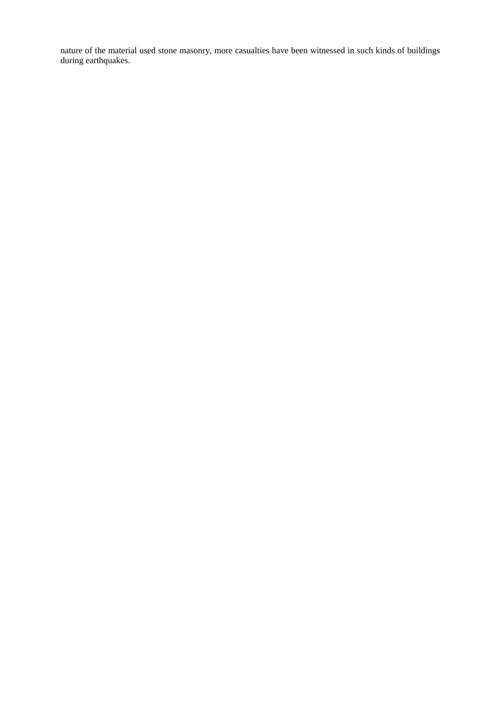nature of the material used stone masonry, more casualties have been witnessed in such kinds of buildings during earthquakes.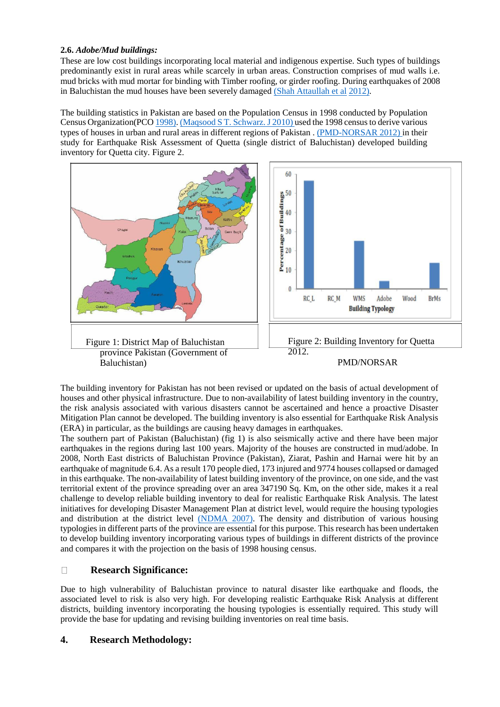### **2.6.** *Adobe/Mud buildings:*

These are low cost buildings incorporating local material and indigenous expertise. Such types of buildings predominantly exist in rural areas while scarcely in urban areas. Construction comprises of mud walls i.e. mud bricks with mud mortar for binding with Timber roofing, or girder roofing. During earthquakes of 2008 in Baluchistan the mud houses have been severely damaged [\(Shah Attaullah et al](file:///F:/146.doc%23page8) [2012\).](file:///F:/146.doc%23page8)

The building statistics in Pakistan are based on the Population Census in 1998 conducted by Population Census Organization(PC[O 1998\). \(Maqsood S T. Schwarz. J 2010\) u](file:///F:/146.doc%23page8)sed the 1998 census to derive various types of houses in urban and rural areas in different regions of Pakistan . [\(PMD-NORSAR 2012\) i](file:///F:/146.doc%23page8)n their study for Earthquake Risk Assessment of Quetta (single district of Baluchistan) developed building inventory for Quetta city. Figure 2.



The building inventory for Pakistan has not been revised or updated on the basis of actual development of houses and other physical infrastructure. Due to non-availability of latest building inventory in the country, the risk analysis associated with various disasters cannot be ascertained and hence a proactive Disaster Mitigation Plan cannot be developed. The building inventory is also essential for Earthquake Risk Analysis (ERA) in particular, as the buildings are causing heavy damages in earthquakes.

The southern part of Pakistan (Baluchistan) (fig 1) is also seismically active and there have been major earthquakes in the regions during last 100 years. Majority of the houses are constructed in mud/adobe. In 2008, North East districts of Baluchistan Province (Pakistan), Ziarat, Pashin and Harnai were hit by an earthquake of magnitude 6.4. As a result 170 people died, 173 injured and 9774 houses collapsed or damaged in this earthquake. The non-availability of latest building inventory of the province, on one side, and the vast territorial extent of the province spreading over an area 347190 Sq. Km, on the other side, makes it a real challenge to develop reliable building inventory to deal for realistic Earthquake Risk Analysis. The latest initiatives for developing Disaster Management Plan at district level, would require the housing typologies and distribution at the district level [\(NDMA 2007\).](file:///F:/146.doc%23page8) The density and distribution of various housing typologies in different parts of the province are essential for this purpose. This research has been undertaken to develop building inventory incorporating various types of buildings in different districts of the province and compares it with the projection on the basis of 1998 housing census.

#### $\Box$ **Research Significance:**

Due to high vulnerability of Baluchistan province to natural disaster like earthquake and floods, the associated level to risk is also very high. For developing realistic Earthquake Risk Analysis at different districts, building inventory incorporating the housing typologies is essentially required. This study will provide the base for updating and revising building inventories on real time basis.

### **4. Research Methodology:**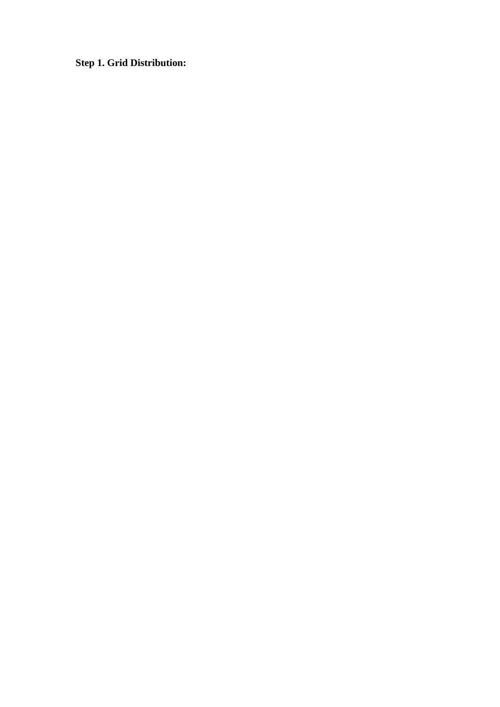## **Step 1. Grid Distribution:**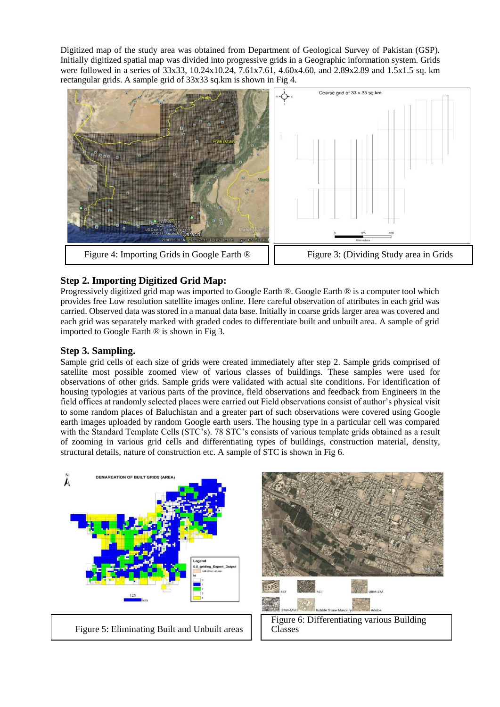Digitized map of the study area was obtained from Department of Geological Survey of Pakistan (GSP). Initially digitized spatial map was divided into progressive grids in a Geographic information system. Grids were followed in a series of 33x33, 10.24x10.24, 7.61x7.61, 4.60x4.60, and 2.89x2.89 and 1.5x1.5 sq. km rectangular grids. A sample grid of 33x33 sq.km is shown in Fig 4.



### **Step 2. Importing Digitized Grid Map:**

Progressively digitized grid map was imported to Google Earth ®. Google Earth ® is a computer tool which provides free Low resolution satellite images online. Here careful observation of attributes in each grid was carried. Observed data was stored in a manual data base. Initially in coarse grids larger area was covered and each grid was separately marked with graded codes to differentiate built and unbuilt area. A sample of grid imported to Google Earth ® is shown in Fig 3.

### **Step 3. Sampling.**

Sample grid cells of each size of grids were created immediately after step 2. Sample grids comprised of satellite most possible zoomed view of various classes of buildings. These samples were used for observations of other grids. Sample grids were validated with actual site conditions. For identification of housing typologies at various parts of the province, field observations and feedback from Engineers in the field offices at randomly selected places were carried out Field observations consist of author's physical visit to some random places of Baluchistan and a greater part of such observations were covered using Google earth images uploaded by random Google earth users. The housing type in a particular cell was compared with the Standard Template Cells (STC's). 78 STC's consists of various template grids obtained as a result of zooming in various grid cells and differentiating types of buildings, construction material, density, structural details, nature of construction etc. A sample of STC is shown in Fig 6.

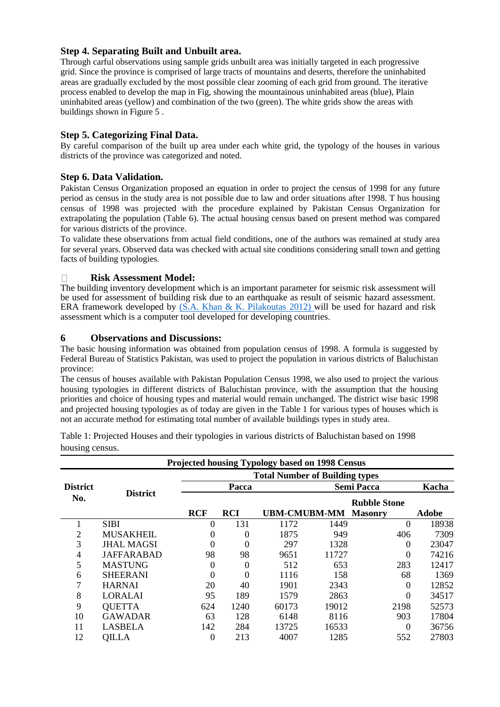### **Step 4. Separating Built and Unbuilt area.**

Through carful observations using sample grids unbuilt area was initially targeted in each progressive grid. Since the province is comprised of large tracts of mountains and deserts, therefore the uninhabited areas are gradually excluded by the most possible clear zooming of each grid from ground. The iterative process enabled to develop the map in Fig, showing the mountainous uninhabited areas (blue), Plain uninhabited areas (yellow) and combination of the two (green). The white grids show the areas with buildings shown in Figure 5 .

### **Step 5. Categorizing Final Data.**

By careful comparison of the built up area under each white grid, the typology of the houses in various districts of the province was categorized and noted.

### **Step 6. Data Validation.**

Pakistan Census Organization proposed an equation in order to project the census of 1998 for any future period as census in the study area is not possible due to law and order situations after 1998. T hus housing census of 1998 was projected with the procedure explained by Pakistan Census Organization for extrapolating the population (Table 6). The actual housing census based on present method was compared for various districts of the province.

To validate these observations from actual field conditions, one of the authors was remained at study area for several years. Observed data was checked with actual site conditions considering small town and getting facts of building typologies.

#### **Risk Assessment Model:**  $\Box$

The building inventory development which is an important parameter for seismic risk assessment will be used for assessment of building risk due to an earthquake as result of seismic hazard assessment. ERA framework developed by [\(S.A. Khan & K. Pilakoutas 2012\) w](file:///F:/146.doc%23page8)ill be used for hazard and risk assessment which is a computer tool developed for developing countries.

### **6 Observations and Discussions:**

The basic housing information was obtained from population census of 1998. A formula is suggested by Federal Bureau of Statistics Pakistan, was used to project the population in various districts of Baluchistan province:

The census of houses available with Pakistan Population Census 1998, we also used to project the various housing typologies in different districts of Baluchistan province, with the assumption that the housing priorities and choice of housing types and material would remain unchanged. The district wise basic 1998 and projected housing typologies as of today are given in the Table 1 for various types of houses which is not an accurate method for estimating total number of available buildings types in study area.

| <b>Projected housing Typology based on 1998 Census</b> |                   |                                       |                     |       |                     |                   |              |  |  |  |
|--------------------------------------------------------|-------------------|---------------------------------------|---------------------|-------|---------------------|-------------------|--------------|--|--|--|
|                                                        |                   | <b>Total Number of Building types</b> |                     |       |                     |                   |              |  |  |  |
| <b>District</b>                                        | <b>District</b>   |                                       | Pacca               |       |                     | <b>Semi Pacca</b> |              |  |  |  |
| No.                                                    |                   |                                       | <b>Rubble Stone</b> |       |                     |                   |              |  |  |  |
|                                                        |                   | <b>RCF</b>                            | <b>RCI</b>          |       | <b>UBM-CMUBM-MM</b> | <b>Masonry</b>    | <b>Adobe</b> |  |  |  |
|                                                        | <b>SIBI</b>       | 0                                     | 131                 | 1172  | 1449                | $\Omega$          | 18938        |  |  |  |
| 2                                                      | <b>MUSAKHEIL</b>  | $\theta$                              | 0                   | 1875  | 949                 | 406               | 7309         |  |  |  |
| 3                                                      | <b>JHAL MAGSI</b> | $\Omega$                              | 0                   | 297   | 1328                | $\Omega$          | 23047        |  |  |  |
| 4                                                      | <b>JAFFARABAD</b> | 98                                    | 98                  | 9651  | 11727               | $\Omega$          | 74216        |  |  |  |
| 5                                                      | <b>MASTUNG</b>    | $\theta$                              |                     | 512   | 653                 | 283               | 12417        |  |  |  |
| 6                                                      | <b>SHEERANI</b>   | $\Omega$                              |                     | 1116  | 158                 | 68                | 1369         |  |  |  |
| 7                                                      | <b>HARNAI</b>     | 20                                    | 40                  | 1901  | 2343                | $\Omega$          | 12852        |  |  |  |
| 8                                                      | <b>LORALAI</b>    | 95                                    | 189                 | 1579  | 2863                | $\Omega$          | 34517        |  |  |  |
| 9                                                      | <b>OUETTA</b>     | 624                                   | 1240                | 60173 | 19012               | 2198              | 52573        |  |  |  |
| 10                                                     | <b>GAWADAR</b>    | 63                                    | 128                 | 6148  | 8116                | 903               | 17804        |  |  |  |
| 11                                                     | LASBELA           | 142                                   | 284                 | 13725 | 16533               | $\Omega$          | 36756        |  |  |  |
| 12                                                     | <b>QILLA</b>      | $\boldsymbol{0}$                      | 213                 | 4007  | 1285                | 552               | 27803        |  |  |  |

Table 1: Projected Houses and their typologies in various districts of Baluchistan based on 1998 housing census.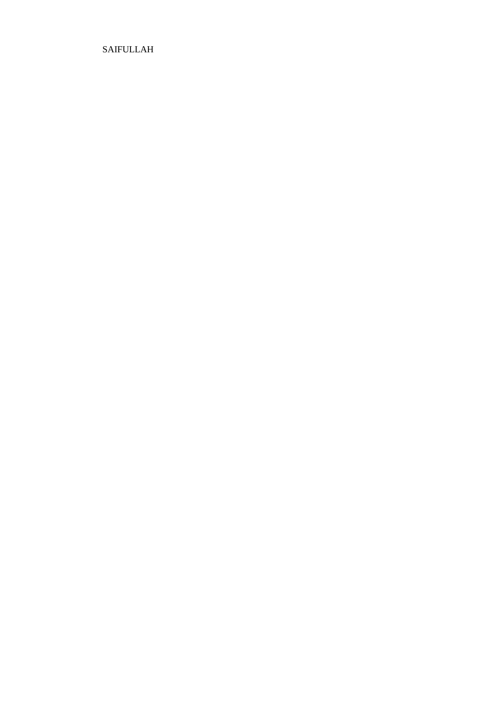SAIFULLAH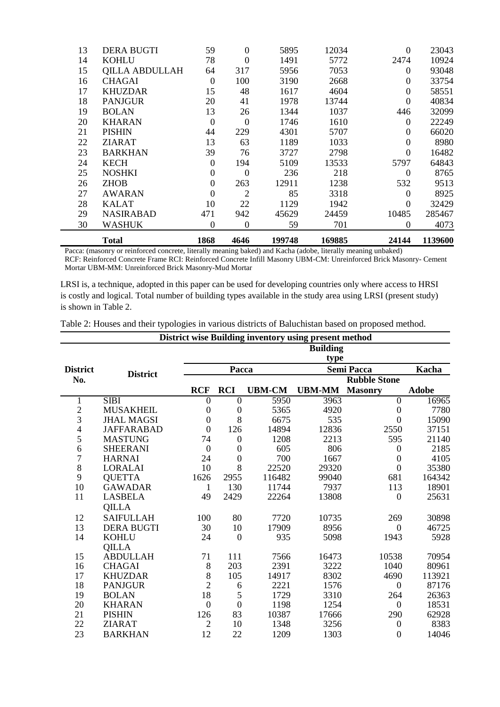|    | <b>Total</b>          | 1868             | 4646             | 199748 | 169885 | 24144          | 1139600 |
|----|-----------------------|------------------|------------------|--------|--------|----------------|---------|
| 30 | <b>WASHUK</b>         | $\boldsymbol{0}$ | $\boldsymbol{0}$ | 59     | 701    | 0              | 4073    |
| 29 | <b>NASIRABAD</b>      | 471              | 942              | 45629  | 24459  | 10485          | 285467  |
| 28 | <b>KALAT</b>          | 10               | 22               | 1129   | 1942   | $\theta$       | 32429   |
| 27 | <b>AWARAN</b>         | 0                | 2                | 85     | 3318   | $\theta$       | 8925    |
| 26 | <b>ZHOB</b>           | 0                | 263              | 12911  | 1238   | 532            | 9513    |
| 25 | <b>NOSHKI</b>         | 0                | $\boldsymbol{0}$ | 236    | 218    | 0              | 8765    |
| 24 | <b>KECH</b>           | $\boldsymbol{0}$ | 194              | 5109   | 13533  | 5797           | 64843   |
| 23 | <b>BARKHAN</b>        | 39               | 76               | 3727   | 2798   | 0              | 16482   |
| 22 | ZIARAT                | 13               | 63               | 1189   | 1033   | $\theta$       | 8980    |
| 21 | <b>PISHIN</b>         | 44               | 229              | 4301   | 5707   | $\theta$       | 66020   |
| 20 | <b>KHARAN</b>         | $\theta$         | $\boldsymbol{0}$ | 1746   | 1610   | $\theta$       | 22249   |
| 19 | <b>BOLAN</b>          | 13               | 26               | 1344   | 1037   | 446            | 32099   |
| 18 | <b>PANJGUR</b>        | 20               | 41               | 1978   | 13744  | $\theta$       | 40834   |
| 17 | <b>KHUZDAR</b>        | 15               | 48               | 1617   | 4604   | $\theta$       | 58551   |
| 16 | <b>CHAGAI</b>         | $\boldsymbol{0}$ | 100              | 3190   | 2668   | 0              | 33754   |
| 15 | <b>QILLA ABDULLAH</b> | 64               | 317              | 5956   | 7053   | 0              | 93048   |
| 14 | <b>KOHLU</b>          | 78               | $\overline{0}$   | 1491   | 5772   | 2474           | 10924   |
| 13 | <b>DERA BUGTI</b>     | 59               | $\overline{0}$   | 5895   | 12034  | $\overline{0}$ | 23043   |

Pacca: (masonry or reinforced concrete, literally meaning baked) and Kacha (adobe, literally meaning unbaked)

RCF: Reinforced Concrete Frame RCI: Reinforced Concrete Infill Masonry UBM-CM: Unreinforced Brick Masonry- Cement Mortar UBM-MM: Unreinforced Brick Masonry-Mud Mortar

LRSI is, a technique, adopted in this paper can be used for developing countries only where access to HRSI is costly and logical. Total number of building types available in the study area using LRSI (present study) is shown in Table 2.

Table 2: Houses and their typologies in various districts of Baluchistan based on proposed method.

| District wise Building inventory using present method |                   |                  |                  |               |               |                     |              |  |  |  |  |
|-------------------------------------------------------|-------------------|------------------|------------------|---------------|---------------|---------------------|--------------|--|--|--|--|
|                                                       |                   | <b>Building</b>  |                  |               |               |                     |              |  |  |  |  |
|                                                       |                   | type             |                  |               |               |                     |              |  |  |  |  |
| <b>District</b>                                       | <b>District</b>   |                  | Pacca            |               |               | <b>Semi Pacca</b>   | Kacha        |  |  |  |  |
| No.                                                   |                   |                  |                  |               |               | <b>Rubble Stone</b> |              |  |  |  |  |
|                                                       |                   | <b>RCF</b>       | <b>RCI</b>       | <b>UBM-CM</b> | <b>UBM-MM</b> | <b>Masonry</b>      | <b>Adobe</b> |  |  |  |  |
| 1                                                     | <b>SIBI</b>       | $\overline{0}$   | $\boldsymbol{0}$ | 5950          | 3963          | $\Omega$            | 16965        |  |  |  |  |
| $\overline{c}$                                        | <b>MUSAKHEIL</b>  | $\boldsymbol{0}$ | $\boldsymbol{0}$ | 5365          | 4920          | $\mathbf{0}$        | 7780         |  |  |  |  |
| 3                                                     | <b>JHAL MAGSI</b> | $\mathbf{0}$     | 8                | 6675          | 535           | $\overline{0}$      | 15090        |  |  |  |  |
| 4                                                     | <b>JAFFARABAD</b> | $\overline{0}$   | 126              | 14894         | 12836         | 2550                | 37151        |  |  |  |  |
| 5                                                     | <b>MASTUNG</b>    | 74               | $\boldsymbol{0}$ | 1208          | 2213          | 595                 | 21140        |  |  |  |  |
| 6                                                     | <b>SHEERANI</b>   | $\overline{0}$   | $\boldsymbol{0}$ | 605           | 806           | $\Omega$            | 2185         |  |  |  |  |
| $\overline{7}$                                        | <b>HARNAI</b>     | 24               | $\boldsymbol{0}$ | 700           | 1667          | $\theta$            | 4105         |  |  |  |  |
| 8                                                     | <b>LORALAI</b>    | 10               | 8                | 22520         | 29320         | $\overline{0}$      | 35380        |  |  |  |  |
| 9                                                     | <b>QUETTA</b>     | 1626             | 2955             | 116482        | 99040         | 681                 | 164342       |  |  |  |  |
| 10                                                    | <b>GAWADAR</b>    | 1                | 130              | 11744         | 7937          | 113                 | 18901        |  |  |  |  |
| 11                                                    | <b>LASBELA</b>    | 49               | 2429             | 22264         | 13808         | $\boldsymbol{0}$    | 25631        |  |  |  |  |
|                                                       | <b>QILLA</b>      |                  |                  |               |               |                     |              |  |  |  |  |
| 12                                                    | <b>SAIFULLAH</b>  | 100              | 80               | 7720          | 10735         | 269                 | 30898        |  |  |  |  |
| 13                                                    | <b>DERA BUGTI</b> | 30               | 10               | 17909         | 8956          | $\overline{0}$      | 46725        |  |  |  |  |
| 14                                                    | <b>KOHLU</b>      | 24               | $\mathbf{0}$     | 935           | 5098          | 1943                | 5928         |  |  |  |  |
|                                                       | <b>QILLA</b>      |                  |                  |               |               |                     |              |  |  |  |  |
| 15                                                    | <b>ABDULLAH</b>   | 71               | 111              | 7566          | 16473         | 10538               | 70954        |  |  |  |  |
| 16                                                    | <b>CHAGAI</b>     | 8                | 203              | 2391          | 3222          | 1040                | 80961        |  |  |  |  |
| 17                                                    | <b>KHUZDAR</b>    | 8                | 105              | 14917         | 8302          | 4690                | 113921       |  |  |  |  |
| 18                                                    | <b>PANJGUR</b>    | $\overline{2}$   | 6                | 2221          | 1576          | $\overline{0}$      | 87176        |  |  |  |  |
| 19                                                    | <b>BOLAN</b>      | 18               | 5                | 1729          | 3310          | 264                 | 26363        |  |  |  |  |
| 20                                                    | <b>KHARAN</b>     | $\overline{0}$   | $\overline{0}$   | 1198          | 1254          | $\overline{0}$      | 18531        |  |  |  |  |
| 21                                                    | <b>PISHIN</b>     | 126              | 83               | 10387         | 17666         | 290                 | 62928        |  |  |  |  |
| 22                                                    | <b>ZIARAT</b>     | $\overline{2}$   | 10               | 1348          | 3256          | $\overline{0}$      | 8383         |  |  |  |  |
| 23                                                    | <b>BARKHAN</b>    | 12               | 22               | 1209          | 1303          | $\mathbf{0}$        | 14046        |  |  |  |  |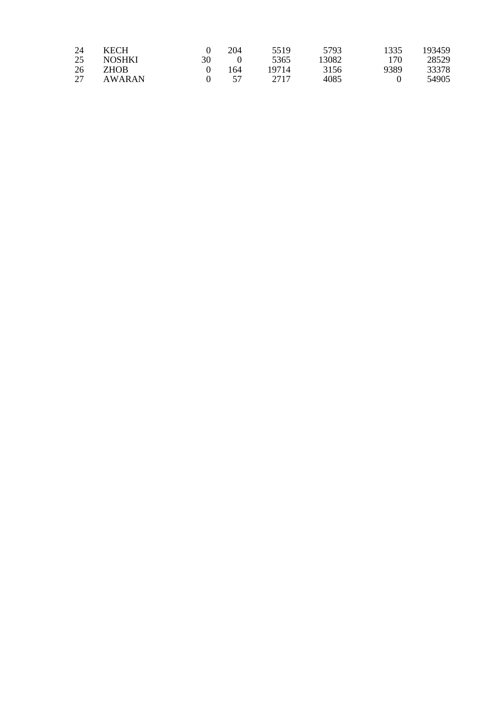| 24 | <b>KECH</b>   | 204 | 5519  | 5793  | 1335 | 193459 |
|----|---------------|-----|-------|-------|------|--------|
| 25 | <b>NOSHKI</b> |     | 5365  | 13082 | 170  | 28529  |
| 26 | ZHOB          | 164 | 19714 | 3156  | 9389 | 33378  |
| 27 | AWARAN        | -57 | 2717  | 4085  |      | 54905  |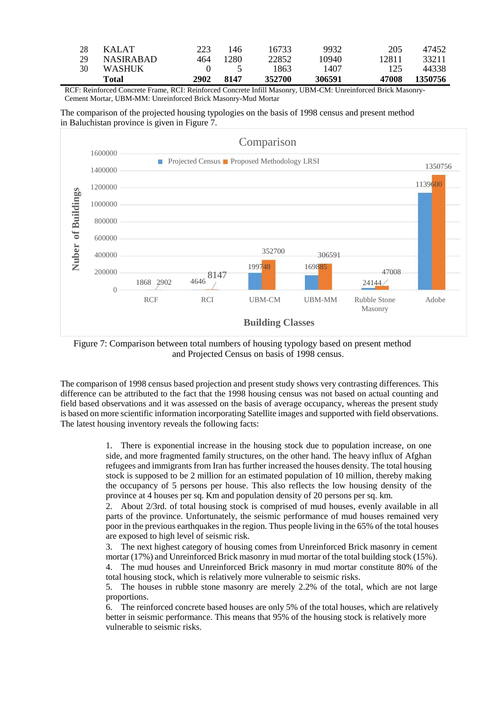| 28 | KALAT            | 223  | 146  | 16733  | 9932   | 205   | 47452   |
|----|------------------|------|------|--------|--------|-------|---------|
| 29 | <b>NASIRABAD</b> | 464  | 1280 | 22852  | 10940  | 12811 | 33211   |
| 30 | <b>WASHUK</b>    |      |      | 1863   | 1407   | 125   | 44338   |
|    | Total            | 2902 | 8147 | 352700 | 306591 | 47008 | 1350756 |

RCF: Reinforced Concrete Frame, RCI: Reinforced Concrete Infill Masonry, UBM-CM: Unreinforced Brick Masonry-Cement Mortar, UBM-MM: Unreinforced Brick Masonry-Mud Mortar

The comparison of the projected housing typologies on the basis of 1998 census and present method in Baluchistan province is given in Figure 7.



Figure 7: Comparison between total numbers of housing typology based on present method and Projected Census on basis of 1998 census.

The comparison of 1998 census based projection and present study shows very contrasting differences. This difference can be attributed to the fact that the 1998 housing census was not based on actual counting and field based observations and it was assessed on the basis of average occupancy, whereas the present study is based on more scientific information incorporating Satellite images and supported with field observations. The latest housing inventory reveals the following facts:

> 1. There is exponential increase in the housing stock due to population increase, on one side, and more fragmented family structures, on the other hand. The heavy influx of Afghan refugees and immigrants from Iran has further increased the houses density. The total housing stock is supposed to be 2 million for an estimated population of 10 million, thereby making the occupancy of 5 persons per house. This also reflects the low housing density of the province at 4 houses per sq. Km and population density of 20 persons per sq. km.

2. About 2/3rd. of total housing stock is comprised of mud houses, evenly available in all parts of the province. Unfortunately, the seismic performance of mud houses remained very poor in the previous earthquakes in the region. Thus people living in the 65% of the total houses are exposed to high level of seismic risk.

3. The next highest category of housing comes from Unreinforced Brick masonry in cement mortar (17%) and Unreinforced Brick masonry in mud mortar of the total building stock (15%). 4. The mud houses and Unreinforced Brick masonry in mud mortar constitute 80% of the total housing stock, which is relatively more vulnerable to seismic risks.

5. The houses in rubble stone masonry are merely 2.2% of the total, which are not large proportions.

6. The reinforced concrete based houses are only 5% of the total houses, which are relatively better in seismic performance. This means that 95% of the housing stock is relatively more vulnerable to seismic risks.